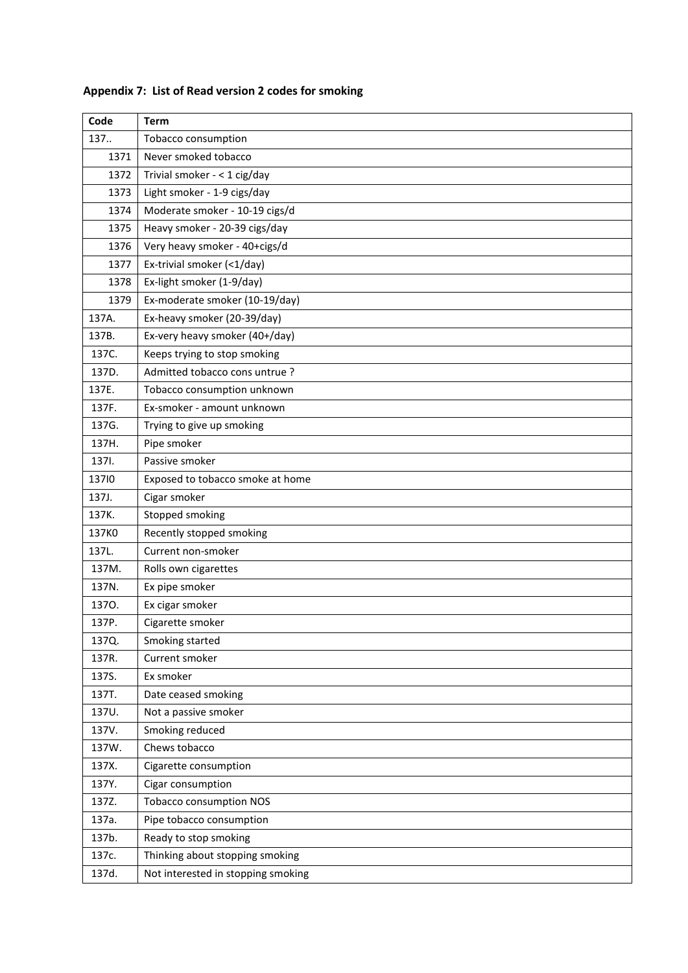| Code  | <b>Term</b>                        |
|-------|------------------------------------|
| 137   | Tobacco consumption                |
| 1371  | Never smoked tobacco               |
| 1372  | Trivial smoker - < 1 cig/day       |
| 1373  | Light smoker - 1-9 cigs/day        |
| 1374  | Moderate smoker - 10-19 cigs/d     |
| 1375  | Heavy smoker - 20-39 cigs/day      |
| 1376  | Very heavy smoker - 40+cigs/d      |
| 1377  | Ex-trivial smoker (<1/day)         |
| 1378  | Ex-light smoker (1-9/day)          |
| 1379  | Ex-moderate smoker (10-19/day)     |
| 137A. | Ex-heavy smoker (20-39/day)        |
| 137B. | Ex-very heavy smoker (40+/day)     |
| 137C. | Keeps trying to stop smoking       |
| 137D. | Admitted tobacco cons untrue ?     |
| 137E. | Tobacco consumption unknown        |
| 137F. | Ex-smoker - amount unknown         |
| 137G. | Trying to give up smoking          |
| 137H. | Pipe smoker                        |
| 137I. | Passive smoker                     |
| 13710 | Exposed to tobacco smoke at home   |
| 137J. | Cigar smoker                       |
| 137K. | Stopped smoking                    |
| 137K0 | Recently stopped smoking           |
| 137L. | Current non-smoker                 |
| 137M. | Rolls own cigarettes               |
| 137N. | Ex pipe smoker                     |
| 1370. | Ex cigar smoker                    |
| 137P. | Cigarette smoker                   |
| 137Q. | Smoking started                    |
| 137R. | Current smoker                     |
| 137S. | Ex smoker                          |
| 137T. | Date ceased smoking                |
| 137U. | Not a passive smoker               |
| 137V. | Smoking reduced                    |
| 137W. | Chews tobacco                      |
| 137X. | Cigarette consumption              |
| 137Y. | Cigar consumption                  |
| 137Z. | <b>Tobacco consumption NOS</b>     |
| 137a. | Pipe tobacco consumption           |
| 137b. | Ready to stop smoking              |
| 137c. | Thinking about stopping smoking    |
| 137d. | Not interested in stopping smoking |

## **Appendix 7: List of Read version 2 codes for smoking**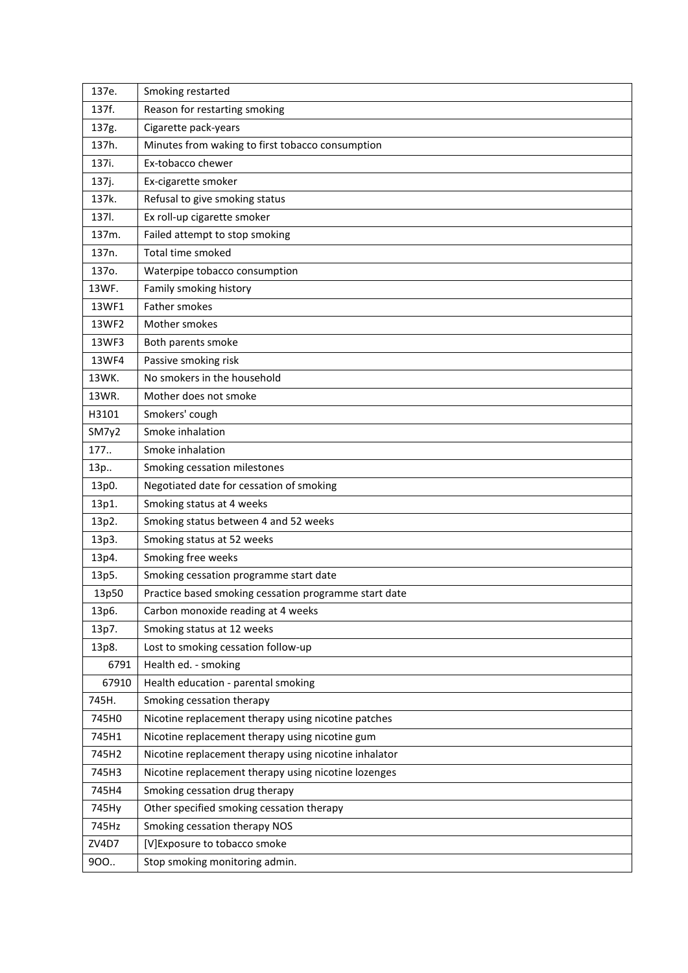| 137e.              | Smoking restarted                                     |
|--------------------|-------------------------------------------------------|
| 137f.              | Reason for restarting smoking                         |
| 137g.              | Cigarette pack-years                                  |
| 137h.              | Minutes from waking to first tobacco consumption      |
| 137i.              | Ex-tobacco chewer                                     |
| 137j.              | Ex-cigarette smoker                                   |
| 137k.              | Refusal to give smoking status                        |
| 137I.              | Ex roll-up cigarette smoker                           |
| 137m.              | Failed attempt to stop smoking                        |
| 137 <sub>n</sub> . | Total time smoked                                     |
| 137o.              | Waterpipe tobacco consumption                         |
| 13WF.              | Family smoking history                                |
| 13WF1              | Father smokes                                         |
| 13WF2              | Mother smokes                                         |
| 13WF3              | Both parents smoke                                    |
| 13WF4              | Passive smoking risk                                  |
| 13WK.              | No smokers in the household                           |
| 13WR.              | Mother does not smoke                                 |
| H3101              | Smokers' cough                                        |
| SM7y2              | Smoke inhalation                                      |
| 177.               | Smoke inhalation                                      |
| 13p                | Smoking cessation milestones                          |
| 13p0.              | Negotiated date for cessation of smoking              |
| 13p1.              | Smoking status at 4 weeks                             |
| 13p2.              | Smoking status between 4 and 52 weeks                 |
| 13p3.              | Smoking status at 52 weeks                            |
| 13p4.              | Smoking free weeks                                    |
| 13p5.              | Smoking cessation programme start date                |
| 13p50              | Practice based smoking cessation programme start date |
| 13p6.              | Carbon monoxide reading at 4 weeks                    |
| 13p7.              | Smoking status at 12 weeks                            |
| 13p8.              | Lost to smoking cessation follow-up                   |
| 6791               | Health ed. - smoking                                  |
| 67910              | Health education - parental smoking                   |
| 745H.              | Smoking cessation therapy                             |
| 745H0              | Nicotine replacement therapy using nicotine patches   |
| 745H1              | Nicotine replacement therapy using nicotine gum       |
| 745H2              | Nicotine replacement therapy using nicotine inhalator |
| 745H3              | Nicotine replacement therapy using nicotine lozenges  |
| 745H4              | Smoking cessation drug therapy                        |
| 745Hy              | Other specified smoking cessation therapy             |
| 745Hz              | Smoking cessation therapy NOS                         |
| ZV4D7              | [V] Exposure to tobacco smoke                         |
| 900                | Stop smoking monitoring admin.                        |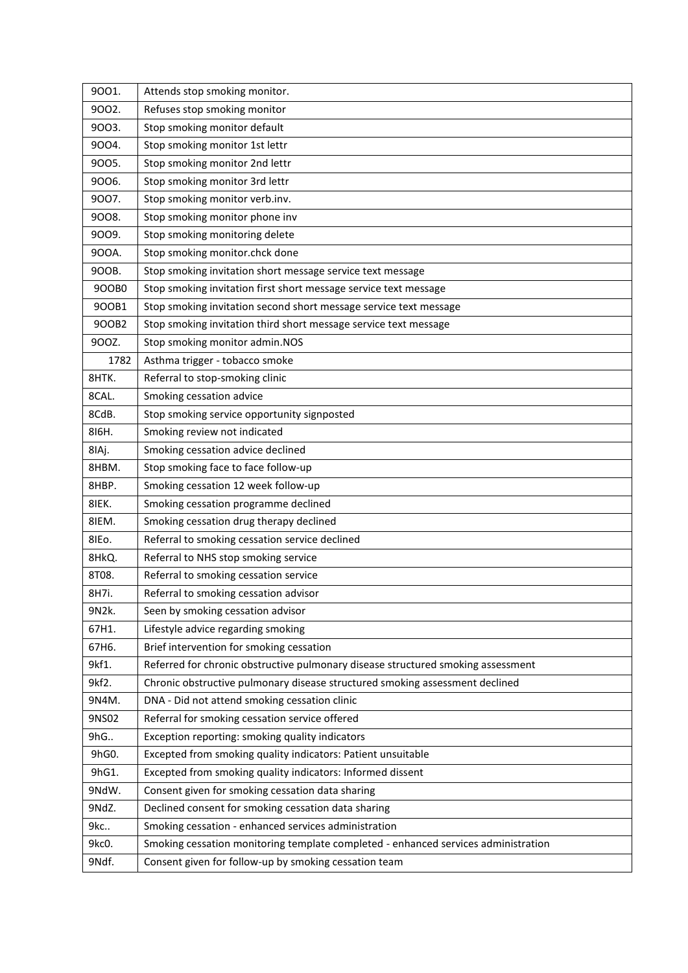| 9001. | Attends stop smoking monitor.                                                      |
|-------|------------------------------------------------------------------------------------|
| 9002. | Refuses stop smoking monitor                                                       |
| 9003. | Stop smoking monitor default                                                       |
| 9004. | Stop smoking monitor 1st lettr                                                     |
| 9005. | Stop smoking monitor 2nd lettr                                                     |
| 9006. | Stop smoking monitor 3rd lettr                                                     |
| 9007. | Stop smoking monitor verb.inv.                                                     |
| 9008. | Stop smoking monitor phone inv                                                     |
| 9009. | Stop smoking monitoring delete                                                     |
| 900A. | Stop smoking monitor.chck done                                                     |
| 900B. | Stop smoking invitation short message service text message                         |
| 900B0 | Stop smoking invitation first short message service text message                   |
| 900B1 | Stop smoking invitation second short message service text message                  |
| 900B2 | Stop smoking invitation third short message service text message                   |
| 900Z. | Stop smoking monitor admin.NOS                                                     |
| 1782  | Asthma trigger - tobacco smoke                                                     |
| 8HTK. | Referral to stop-smoking clinic                                                    |
| 8CAL. | Smoking cessation advice                                                           |
| 8CdB. | Stop smoking service opportunity signposted                                        |
| 816H. | Smoking review not indicated                                                       |
| 8IAj. | Smoking cessation advice declined                                                  |
| 8HBM. | Stop smoking face to face follow-up                                                |
| 8HBP. | Smoking cessation 12 week follow-up                                                |
| 8IEK. | Smoking cessation programme declined                                               |
| 8IEM. | Smoking cessation drug therapy declined                                            |
| 8IEo. | Referral to smoking cessation service declined                                     |
| 8HkQ. | Referral to NHS stop smoking service                                               |
| 8T08. | Referral to smoking cessation service                                              |
| 8H7i. | Referral to smoking cessation advisor                                              |
| 9N2k. | Seen by smoking cessation advisor                                                  |
| 67H1. | Lifestyle advice regarding smoking                                                 |
| 67H6. | Brief intervention for smoking cessation                                           |
| 9kf1. | Referred for chronic obstructive pulmonary disease structured smoking assessment   |
| 9kf2. | Chronic obstructive pulmonary disease structured smoking assessment declined       |
| 9N4M. | DNA - Did not attend smoking cessation clinic                                      |
| 9NS02 | Referral for smoking cessation service offered                                     |
| 9hG   | Exception reporting: smoking quality indicators                                    |
| 9hG0. | Excepted from smoking quality indicators: Patient unsuitable                       |
| 9hG1. | Excepted from smoking quality indicators: Informed dissent                         |
| 9NdW. | Consent given for smoking cessation data sharing                                   |
| 9NdZ. | Declined consent for smoking cessation data sharing                                |
| 9kc   | Smoking cessation - enhanced services administration                               |
| 9kc0. | Smoking cessation monitoring template completed - enhanced services administration |
| 9Ndf. | Consent given for follow-up by smoking cessation team                              |